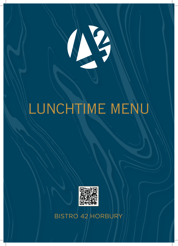

## LUNCHTIME MENU



BISTRO 42 HORBURY